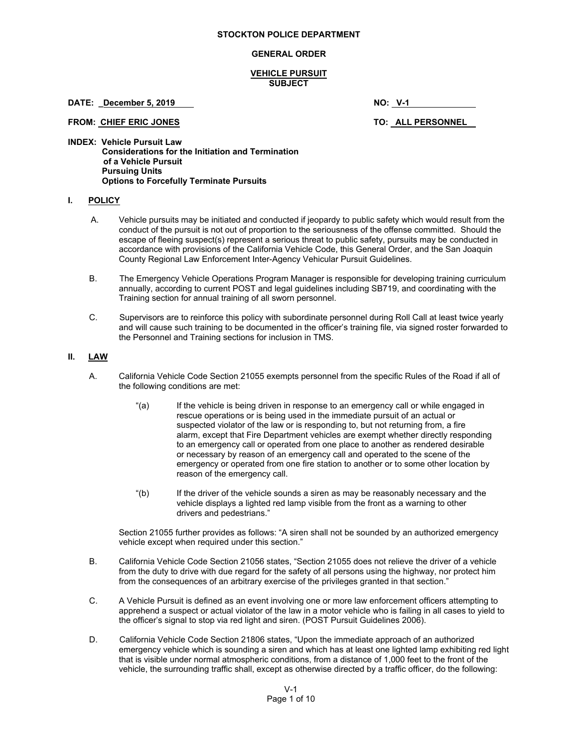#### **STOCKTON POLICE DEPARTMENT**

### **GENERAL ORDER**

### **VEHICLE PURSUIT SUBJECT**

**DATE:** <u>December 5, 2019</u> **NO: V-1 NO:** V-1

FROM: CHIEF ERIC JONES **TO: ALL PERSONNEL** 

**INDEX: Vehicle Pursuit Law Considerations for the Initiation and Termination of a Vehicle Pursuit Pursuing Units Options to Forcefully Terminate Pursuits** 

# **I. POLICY**

- A. Vehicle pursuits may be initiated and conducted if jeopardy to public safety which would result from the conduct of the pursuit is not out of proportion to the seriousness of the offense committed. Should the escape of fleeing suspect(s) represent a serious threat to public safety, pursuits may be conducted in accordance with provisions of the California Vehicle Code, this General Order, and the San Joaquin County Regional Law Enforcement Inter-Agency Vehicular Pursuit Guidelines.
- B. The Emergency Vehicle Operations Program Manager is responsible for developing training curriculum annually, according to current POST and legal guidelines including SB719, and coordinating with the Training section for annual training of all sworn personnel.
- C. Supervisors are to reinforce this policy with subordinate personnel during Roll Call at least twice yearly and will cause such training to be documented in the officer's training file, via signed roster forwarded to the Personnel and Training sections for inclusion in TMS.

# **II. LAW**

- A. California Vehicle Code Section 21055 exempts personnel from the specific Rules of the Road if all of the following conditions are met:
	- "(a) If the vehicle is being driven in response to an emergency call or while engaged in rescue operations or is being used in the immediate pursuit of an actual or suspected violator of the law or is responding to, but not returning from, a fire alarm, except that Fire Department vehicles are exempt whether directly responding to an emergency call or operated from one place to another as rendered desirable or necessary by reason of an emergency call and operated to the scene of the emergency or operated from one fire station to another or to some other location by reason of the emergency call.
	- "(b) If the driver of the vehicle sounds a siren as may be reasonably necessary and the vehicle displays a lighted red lamp visible from the front as a warning to other drivers and pedestrians."

Section 21055 further provides as follows: "A siren shall not be sounded by an authorized emergency vehicle except when required under this section."

- B. California Vehicle Code Section 21056 states, "Section 21055 does not relieve the driver of a vehicle from the duty to drive with due regard for the safety of all persons using the highway, nor protect him from the consequences of an arbitrary exercise of the privileges granted in that section."
- C. A Vehicle Pursuit is defined as an event involving one or more law enforcement officers attempting to apprehend a suspect or actual violator of the law in a motor vehicle who is failing in all cases to yield to the officer's signal to stop via red light and siren. (POST Pursuit Guidelines 2006).
- D. California Vehicle Code Section 21806 states, "Upon the immediate approach of an authorized emergency vehicle which is sounding a siren and which has at least one lighted lamp exhibiting red light that is visible under normal atmospheric conditions, from a distance of 1,000 feet to the front of the vehicle, the surrounding traffic shall, except as otherwise directed by a traffic officer, do the following: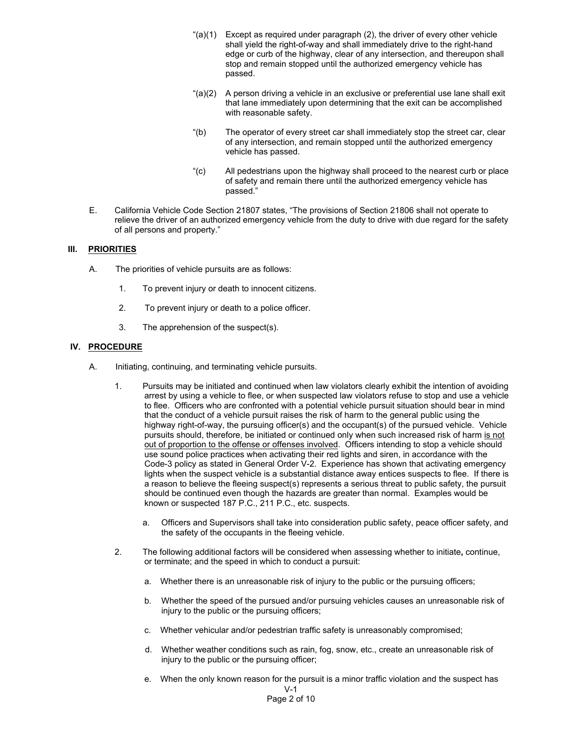- " $(a)(1)$  Except as required under paragraph  $(2)$ , the driver of every other vehicle shall yield the right-of-way and shall immediately drive to the right-hand edge or curb of the highway, clear of any intersection, and thereupon shall stop and remain stopped until the authorized emergency vehicle has passed.
- "(a)(2) A person driving a vehicle in an exclusive or preferential use lane shall exit that lane immediately upon determining that the exit can be accomplished with reasonable safety.
- "(b) The operator of every street car shall immediately stop the street car, clear of any intersection, and remain stopped until the authorized emergency vehicle has passed.
- "(c) All pedestrians upon the highway shall proceed to the nearest curb or place of safety and remain there until the authorized emergency vehicle has passed."
- E. California Vehicle Code Section 21807 states, "The provisions of Section 21806 shall not operate to relieve the driver of an authorized emergency vehicle from the duty to drive with due regard for the safety of all persons and property."

# **III. PRIORITIES**

- A. The priorities of vehicle pursuits are as follows:
	- 1. To prevent injury or death to innocent citizens.
	- 2. To prevent injury or death to a police officer.
	- 3. The apprehension of the suspect(s).

# **IV. PROCEDURE**

- A. Initiating, continuing, and terminating vehicle pursuits.
	- 1. Pursuits may be initiated and continued when law violators clearly exhibit the intention of avoiding arrest by using a vehicle to flee, or when suspected law violators refuse to stop and use a vehicle to flee. Officers who are confronted with a potential vehicle pursuit situation should bear in mind that the conduct of a vehicle pursuit raises the risk of harm to the general public using the highway right-of-way, the pursuing officer(s) and the occupant(s) of the pursued vehicle. Vehicle pursuits should, therefore, be initiated or continued only when such increased risk of harm is not out of proportion to the offense or offenses involved. Officers intending to stop a vehicle should use sound police practices when activating their red lights and siren, in accordance with the Code-3 policy as stated in General Order V-2. Experience has shown that activating emergency lights when the suspect vehicle is a substantial distance away entices suspects to flee. If there is a reason to believe the fleeing suspect(s) represents a serious threat to public safety, the pursuit should be continued even though the hazards are greater than normal. Examples would be known or suspected 187 P.C., 211 P.C., etc. suspects.
		- a. Officers and Supervisors shall take into consideration public safety, peace officer safety, and the safety of the occupants in the fleeing vehicle.
	- 2. The following additional factors will be considered when assessing whether to initiate**,** continue, or terminate; and the speed in which to conduct a pursuit:
		- a. Whether there is an unreasonable risk of injury to the public or the pursuing officers;
		- b. Whether the speed of the pursued and/or pursuing vehicles causes an unreasonable risk of injury to the public or the pursuing officers;
		- c. Whether vehicular and/or pedestrian traffic safety is unreasonably compromised;
		- d. Whether weather conditions such as rain, fog, snow, etc., create an unreasonable risk of injury to the public or the pursuing officer;
		- V-1 e. When the only known reason for the pursuit is a minor traffic violation and the suspect has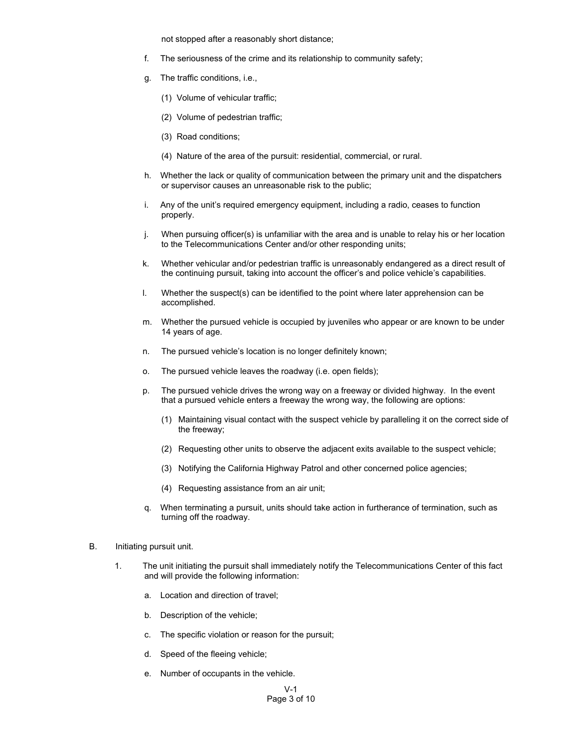not stopped after a reasonably short distance;

- f. The seriousness of the crime and its relationship to community safety;
- g. The traffic conditions, i.e.,
	- (1) Volume of vehicular traffic;
	- (2) Volume of pedestrian traffic;
	- (3) Road conditions;
	- (4) Nature of the area of the pursuit: residential, commercial, or rural.
- h. Whether the lack or quality of communication between the primary unit and the dispatchers or supervisor causes an unreasonable risk to the public;
- i. Any of the unit's required emergency equipment, including a radio, ceases to function properly.
- j. When pursuing officer(s) is unfamiliar with the area and is unable to relay his or her location to the Telecommunications Center and/or other responding units;
- k. Whether vehicular and/or pedestrian traffic is unreasonably endangered as a direct result of the continuing pursuit, taking into account the officer's and police vehicle's capabilities.
- l. Whether the suspect(s) can be identified to the point where later apprehension can be accomplished.
- m. Whether the pursued vehicle is occupied by juveniles who appear or are known to be under 14 years of age.
- n. The pursued vehicle's location is no longer definitely known;
- o. The pursued vehicle leaves the roadway (i.e. open fields);
- p. The pursued vehicle drives the wrong way on a freeway or divided highway. In the event that a pursued vehicle enters a freeway the wrong way, the following are options:
	- (1) Maintaining visual contact with the suspect vehicle by paralleling it on the correct side of the freeway;
	- (2) Requesting other units to observe the adjacent exits available to the suspect vehicle;
	- (3) Notifying the California Highway Patrol and other concerned police agencies;
	- (4) Requesting assistance from an air unit;
- q. When terminating a pursuit, units should take action in furtherance of termination, such as turning off the roadway.
- B. Initiating pursuit unit.
	- 1. The unit initiating the pursuit shall immediately notify the Telecommunications Center of this fact and will provide the following information:
		- a. Location and direction of travel;
		- b. Description of the vehicle;
		- c. The specific violation or reason for the pursuit;
		- d. Speed of the fleeing vehicle;
		- e. Number of occupants in the vehicle.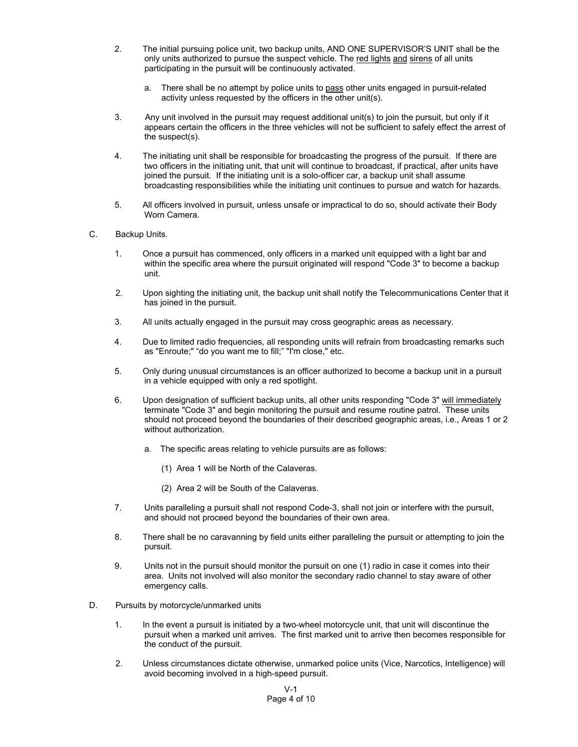- 2. The initial pursuing police unit, two backup units, AND ONE SUPERVISOR'S UNIT shall be the only units authorized to pursue the suspect vehicle. The red lights and sirens of all units participating in the pursuit will be continuously activated.
	- a. There shall be no attempt by police units to pass other units engaged in pursuit-related activity unless requested by the officers in the other unit(s).
- 3. Any unit involved in the pursuit may request additional unit(s) to join the pursuit, but only if it appears certain the officers in the three vehicles will not be sufficient to safely effect the arrest of the suspect(s).
- 4. The initiating unit shall be responsible for broadcasting the progress of the pursuit. If there are two officers in the initiating unit, that unit will continue to broadcast, if practical, after units have joined the pursuit. If the initiating unit is a solo-officer car, a backup unit shall assume broadcasting responsibilities while the initiating unit continues to pursue and watch for hazards.
- 5. All officers involved in pursuit, unless unsafe or impractical to do so, should activate their Body Worn Camera.
- C. Backup Units.
	- 1. Once a pursuit has commenced, only officers in a marked unit equipped with a light bar and within the specific area where the pursuit originated will respond "Code 3" to become a backup unit.
	- 2. Upon sighting the initiating unit, the backup unit shall notify the Telecommunications Center that it has joined in the pursuit.
	- 3. All units actually engaged in the pursuit may cross geographic areas as necessary.
	- 4. Due to limited radio frequencies, all responding units will refrain from broadcasting remarks such as "Enroute;" "do you want me to fill;" "I'm close," etc.
	- 5. Only during unusual circumstances is an officer authorized to become a backup unit in a pursuit in a vehicle equipped with only a red spotlight.
	- 6. Upon designation of sufficient backup units, all other units responding "Code 3" will immediately terminate "Code 3" and begin monitoring the pursuit and resume routine patrol. These units should not proceed beyond the boundaries of their described geographic areas, i.e., Areas 1 or 2 without authorization.
		- a. The specific areas relating to vehicle pursuits are as follows:
			- (1) Area 1 will be North of the Calaveras.
			- (2) Area 2 will be South of the Calaveras.
	- 7. Units paralleling a pursuit shall not respond Code-3, shall not join or interfere with the pursuit, and should not proceed beyond the boundaries of their own area.
	- 8. There shall be no caravanning by field units either paralleling the pursuit or attempting to join the pursuit.
	- 9. Units not in the pursuit should monitor the pursuit on one (1) radio in case it comes into their area. Units not involved will also monitor the secondary radio channel to stay aware of other emergency calls.
- D. Pursuits by motorcycle/unmarked units
	- 1. In the event a pursuit is initiated by a two-wheel motorcycle unit, that unit will discontinue the pursuit when a marked unit arrives. The first marked unit to arrive then becomes responsible for the conduct of the pursuit.
	- 2. Unless circumstances dictate otherwise, unmarked police units (Vice, Narcotics, Intelligence) will avoid becoming involved in a high-speed pursuit.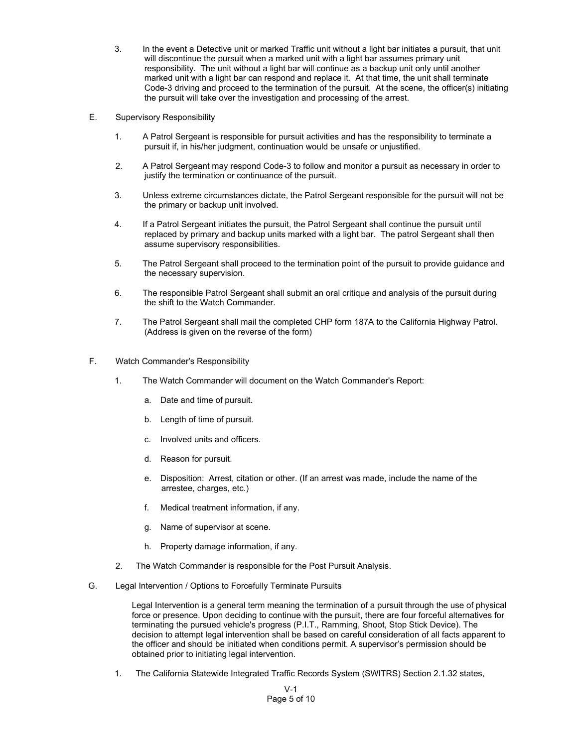- 3. In the event a Detective unit or marked Traffic unit without a light bar initiates a pursuit, that unit will discontinue the pursuit when a marked unit with a light bar assumes primary unit responsibility. The unit without a light bar will continue as a backup unit only until another marked unit with a light bar can respond and replace it. At that time, the unit shall terminate Code-3 driving and proceed to the termination of the pursuit. At the scene, the officer(s) initiating the pursuit will take over the investigation and processing of the arrest.
- E. Supervisory Responsibility
	- 1. A Patrol Sergeant is responsible for pursuit activities and has the responsibility to terminate a pursuit if, in his/her judgment, continuation would be unsafe or unjustified.
	- 2. A Patrol Sergeant may respond Code-3 to follow and monitor a pursuit as necessary in order to justify the termination or continuance of the pursuit.
	- 3. Unless extreme circumstances dictate, the Patrol Sergeant responsible for the pursuit will not be the primary or backup unit involved.
	- 4. If a Patrol Sergeant initiates the pursuit, the Patrol Sergeant shall continue the pursuit until replaced by primary and backup units marked with a light bar. The patrol Sergeant shall then assume supervisory responsibilities.
	- 5. The Patrol Sergeant shall proceed to the termination point of the pursuit to provide guidance and the necessary supervision.
	- 6. The responsible Patrol Sergeant shall submit an oral critique and analysis of the pursuit during the shift to the Watch Commander.
	- 7. The Patrol Sergeant shall mail the completed CHP form 187A to the California Highway Patrol. (Address is given on the reverse of the form)
- F. Watch Commander's Responsibility
	- 1. The Watch Commander will document on the Watch Commander's Report:
		- a. Date and time of pursuit.
		- b. Length of time of pursuit.
		- c. Involved units and officers.
		- d. Reason for pursuit.
		- e. Disposition: Arrest, citation or other. (If an arrest was made, include the name of the arrestee, charges, etc.)
		- f. Medical treatment information, if any.
		- g. Name of supervisor at scene.
		- h. Property damage information, if any.
	- 2. The Watch Commander is responsible for the Post Pursuit Analysis.
- G. Legal Intervention / Options to Forcefully Terminate Pursuits

Legal Intervention is a general term meaning the termination of a pursuit through the use of physical force or presence. Upon deciding to continue with the pursuit, there are four forceful alternatives for terminating the pursued vehicle's progress (P.I.T., Ramming, Shoot, Stop Stick Device). The decision to attempt legal intervention shall be based on careful consideration of all facts apparent to the officer and should be initiated when conditions permit. A supervisor's permission should be obtained prior to initiating legal intervention.

1. The California Statewide Integrated Traffic Records System (SWITRS) Section 2.1.32 states,

V-1 Page 5 of 10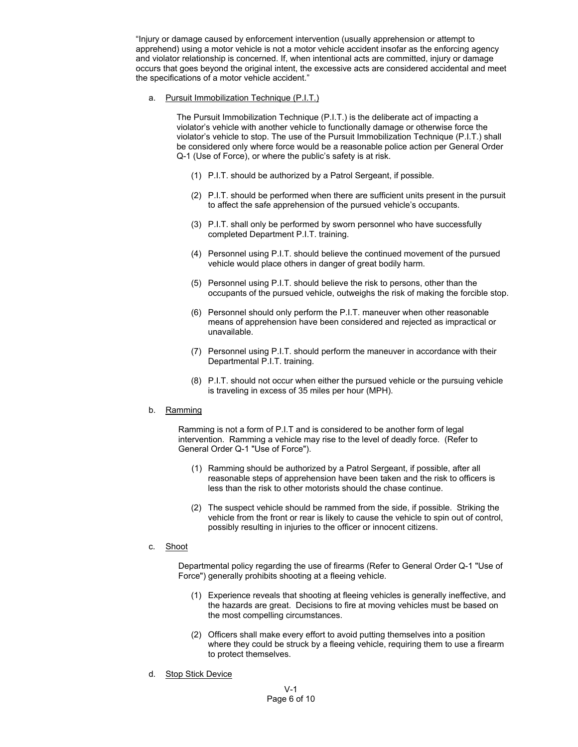"Injury or damage caused by enforcement intervention (usually apprehension or attempt to apprehend) using a motor vehicle is not a motor vehicle accident insofar as the enforcing agency and violator relationship is concerned. If, when intentional acts are committed, injury or damage occurs that goes beyond the original intent, the excessive acts are considered accidental and meet the specifications of a motor vehicle accident."

a. Pursuit Immobilization Technique (P.I.T.)

The Pursuit Immobilization Technique (P.I.T.) is the deliberate act of impacting a violator's vehicle with another vehicle to functionally damage or otherwise force the violator's vehicle to stop. The use of the Pursuit Immobilization Technique (P.I.T.) shall be considered only where force would be a reasonable police action per General Order Q-1 (Use of Force), or where the public's safety is at risk.

- (1) P.I.T. should be authorized by a Patrol Sergeant, if possible.
- (2) P.I.T. should be performed when there are sufficient units present in the pursuit to affect the safe apprehension of the pursued vehicle's occupants.
- (3) P.I.T. shall only be performed by sworn personnel who have successfully completed Department P.I.T. training.
- (4) Personnel using P.I.T. should believe the continued movement of the pursued vehicle would place others in danger of great bodily harm.
- (5) Personnel using P.I.T. should believe the risk to persons, other than the occupants of the pursued vehicle, outweighs the risk of making the forcible stop.
- (6) Personnel should only perform the P.I.T. maneuver when other reasonable means of apprehension have been considered and rejected as impractical or unavailable.
- (7) Personnel using P.I.T. should perform the maneuver in accordance with their Departmental P.I.T. training.
- (8) P.I.T. should not occur when either the pursued vehicle or the pursuing vehicle is traveling in excess of 35 miles per hour (MPH).

### b. Ramming

Ramming is not a form of P.I.T and is considered to be another form of legal intervention. Ramming a vehicle may rise to the level of deadly force. (Refer to General Order Q-1 "Use of Force").

- (1) Ramming should be authorized by a Patrol Sergeant, if possible, after all reasonable steps of apprehension have been taken and the risk to officers is less than the risk to other motorists should the chase continue.
- (2) The suspect vehicle should be rammed from the side, if possible. Striking the vehicle from the front or rear is likely to cause the vehicle to spin out of control, possibly resulting in injuries to the officer or innocent citizens.

# c. Shoot

Departmental policy regarding the use of firearms (Refer to General Order Q-1 "Use of Force") generally prohibits shooting at a fleeing vehicle.

- (1) Experience reveals that shooting at fleeing vehicles is generally ineffective, and the hazards are great. Decisions to fire at moving vehicles must be based on the most compelling circumstances.
- (2) Officers shall make every effort to avoid putting themselves into a position where they could be struck by a fleeing vehicle, requiring them to use a firearm to protect themselves.
- d. Stop Stick Device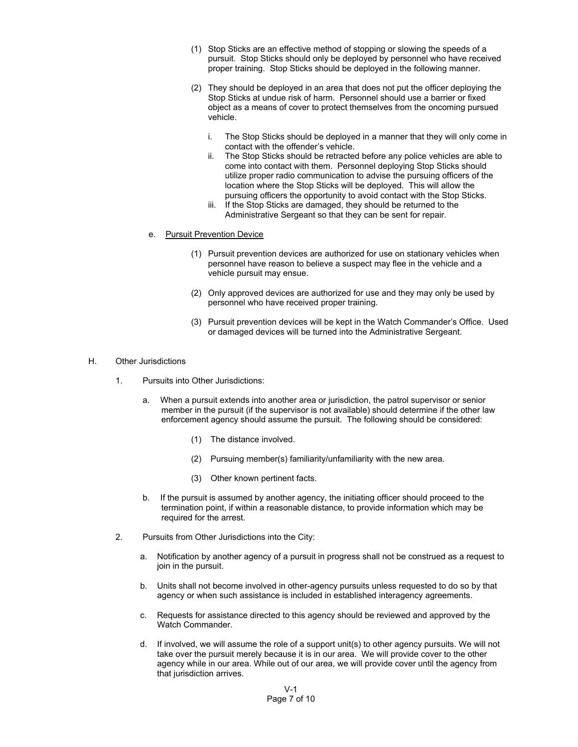- (1) Stop Sticks are an effective method of stopping or slowing the speeds of a pursuit. Stop Sticks should only be deployed by personnel who have received proper training. Stop Sticks should be deployed in the following manner.
- (2) They should be deployed in an area that does not put the officer deploying the Stop Sticks at undue risk of harm. Personnel should use a barrier or fixed object as a means of cover to protect themselves from the oncoming pursued vehicle.
	- i. The Stop Sticks should be deployed in a manner that they will only come in contact with the offender's vehicle.
	- ii. The Stop Sticks should be retracted before any police vehicles are able to come into contact with them. Personnel deploying Stop Sticks should utilize proper radio communication to advise the pursuing officers of the location where the Stop Sticks will be deployed. This will allow the pursuing officers the opportunity to avoid contact with the Stop Sticks.
	- iii. If the Stop Sticks are damaged, they should be returned to the Administrative Sergeant so that they can be sent for repair.
- e. Pursuit Prevention Device
	- (1) Pursuit prevention devices are authorized for use on stationary vehicles when personnel have reason to believe a suspect may flee in the vehicle and a vehicle pursuit may ensue.
	- (2) Only approved devices are authorized for use and they may only be used by personnel who have received proper training.
	- (3) Pursuit prevention devices will be kept in the Watch Commander's Office. Used or damaged devices will be turned into the Administrative Sergeant.
- H. Other Jurisdictions
	- 1. Pursuits into Other Jurisdictions:
		- a. When a pursuit extends into another area or jurisdiction, the patrol supervisor or senior member in the pursuit (if the supervisor is not available) should determine if the other law enforcement agency should assume the pursuit. The following should be considered:
			- (1) The distance involved.
			- (2) Pursuing member(s) familiarity/unfamiliarity with the new area.
			- (3) Other known pertinent facts.
		- b. If the pursuit is assumed by another agency, the initiating officer should proceed to the termination point, if within a reasonable distance, to provide information which may be required for the arrest.
	- 2. Pursuits from Other Jurisdictions into the City:
		- a. Notification by another agency of a pursuit in progress shall not be construed as a request to join in the pursuit.
		- b. Units shall not become involved in other-agency pursuits unless requested to do so by that agency or when such assistance is included in established interagency agreements.
		- c. Requests for assistance directed to this agency should be reviewed and approved by the Watch Commander.
		- d. If involved, we will assume the role of a support unit(s) to other agency pursuits. We will not take over the pursuit merely because it is in our area. We will provide cover to the other agency while in our area. While out of our area, we will provide cover until the agency from that jurisdiction arrives.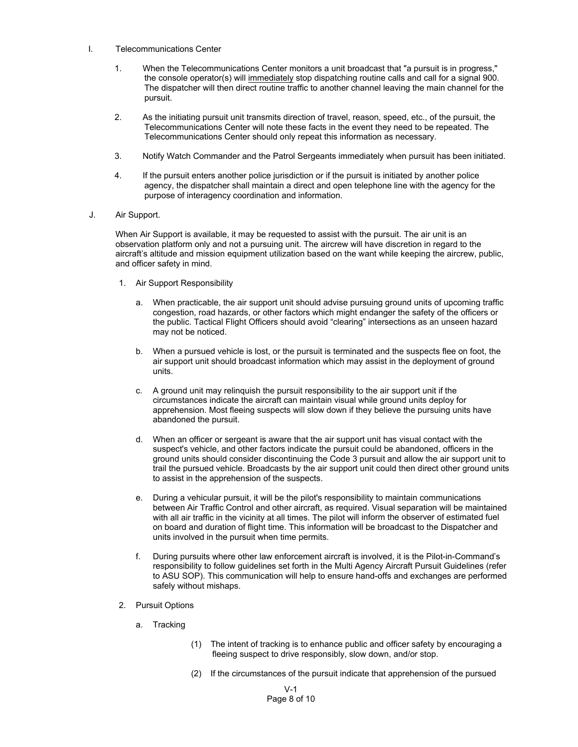- I. Telecommunications Center
	- 1. When the Telecommunications Center monitors a unit broadcast that "a pursuit is in progress," the console operator(s) will immediately stop dispatching routine calls and call for a signal 900. The dispatcher will then direct routine traffic to another channel leaving the main channel for the pursuit.
	- 2. As the initiating pursuit unit transmits direction of travel, reason, speed, etc., of the pursuit, the Telecommunications Center will note these facts in the event they need to be repeated. The Telecommunications Center should only repeat this information as necessary.
	- 3. Notify Watch Commander and the Patrol Sergeants immediately when pursuit has been initiated.
	- 4. If the pursuit enters another police jurisdiction or if the pursuit is initiated by another police agency, the dispatcher shall maintain a direct and open telephone line with the agency for the purpose of interagency coordination and information.
- J. Air Support.

When Air Support is available, it may be requested to assist with the pursuit. The air unit is an observation platform only and not a pursuing unit. The aircrew will have discretion in regard to the aircraft's altitude and mission equipment utilization based on the want while keeping the aircrew, public, and officer safety in mind.

- 1. Air Support Responsibility
	- a. When practicable, the air support unit should advise pursuing ground units of upcoming traffic congestion, road hazards, or other factors which might endanger the safety of the officers or the public. Tactical Flight Officers should avoid "clearing" intersections as an unseen hazard may not be noticed.
	- b. When a pursued vehicle is lost, or the pursuit is terminated and the suspects flee on foot, the air support unit should broadcast information which may assist in the deployment of ground units.
	- c. A ground unit may relinquish the pursuit responsibility to the air support unit if the circumstances indicate the aircraft can maintain visual while ground units deploy for apprehension. Most fleeing suspects will slow down if they believe the pursuing units have abandoned the pursuit.
	- d. When an officer or sergeant is aware that the air support unit has visual contact with the suspect's vehicle, and other factors indicate the pursuit could be abandoned, officers in the ground units should consider discontinuing the Code 3 pursuit and allow the air support unit to trail the pursued vehicle. Broadcasts by the air support unit could then direct other ground units to assist in the apprehension of the suspects.
	- e. During a vehicular pursuit, it will be the pilot's responsibility to maintain communications between Air Traffic Control and other aircraft, as required. Visual separation will be maintained with all air traffic in the vicinity at all times. The pilot will inform the observer of estimated fuel on board and duration of flight time. This information will be broadcast to the Dispatcher and units involved in the pursuit when time permits.
	- f. During pursuits where other law enforcement aircraft is involved, it is the Pilot-in-Command's responsibility to follow guidelines set forth in the Multi Agency Aircraft Pursuit Guidelines (refer to ASU SOP). This communication will help to ensure hand-offs and exchanges are performed safely without mishaps.
- 2. Pursuit Options
	- a. Tracking
		- (1) The intent of tracking is to enhance public and officer safety by encouraging a fleeing suspect to drive responsibly, slow down, and/or stop.
		- (2) If the circumstances of the pursuit indicate that apprehension of the pursued

V-1 Page 8 of 10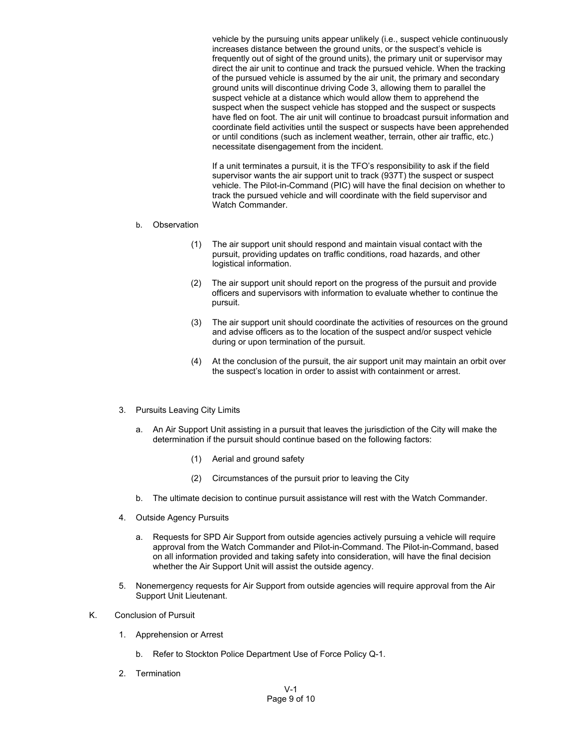vehicle by the pursuing units appear unlikely (i.e., suspect vehicle continuously increases distance between the ground units, or the suspect's vehicle is frequently out of sight of the ground units), the primary unit or supervisor may direct the air unit to continue and track the pursued vehicle. When the tracking of the pursued vehicle is assumed by the air unit, the primary and secondary ground units will discontinue driving Code 3, allowing them to parallel the suspect vehicle at a distance which would allow them to apprehend the suspect when the suspect vehicle has stopped and the suspect or suspects have fled on foot. The air unit will continue to broadcast pursuit information and coordinate field activities until the suspect or suspects have been apprehended or until conditions (such as inclement weather, terrain, other air traffic, etc.) necessitate disengagement from the incident.

If a unit terminates a pursuit, it is the TFO's responsibility to ask if the field supervisor wants the air support unit to track (937T) the suspect or suspect vehicle. The Pilot-in-Command (PIC) will have the final decision on whether to track the pursued vehicle and will coordinate with the field supervisor and Watch Commander.

### b. Observation

- (1) The air support unit should respond and maintain visual contact with the pursuit, providing updates on traffic conditions, road hazards, and other logistical information.
- (2) The air support unit should report on the progress of the pursuit and provide officers and supervisors with information to evaluate whether to continue the pursuit.
- (3) The air support unit should coordinate the activities of resources on the ground and advise officers as to the location of the suspect and/or suspect vehicle during or upon termination of the pursuit.
- (4) At the conclusion of the pursuit, the air support unit may maintain an orbit over the suspect's location in order to assist with containment or arrest.

# 3. Pursuits Leaving City Limits

- a. An Air Support Unit assisting in a pursuit that leaves the jurisdiction of the City will make the determination if the pursuit should continue based on the following factors:
	- (1) Aerial and ground safety
	- (2) Circumstances of the pursuit prior to leaving the City
- b. The ultimate decision to continue pursuit assistance will rest with the Watch Commander.
- 4. Outside Agency Pursuits
	- a. Requests for SPD Air Support from outside agencies actively pursuing a vehicle will require approval from the Watch Commander and Pilot-in-Command. The Pilot-in-Command, based on all information provided and taking safety into consideration, will have the final decision whether the Air Support Unit will assist the outside agency.
- 5. Nonemergency requests for Air Support from outside agencies will require approval from the Air Support Unit Lieutenant.
- K. Conclusion of Pursuit
	- 1. Apprehension or Arrest
		- b. Refer to Stockton Police Department Use of Force Policy Q-1.
	- 2. Termination